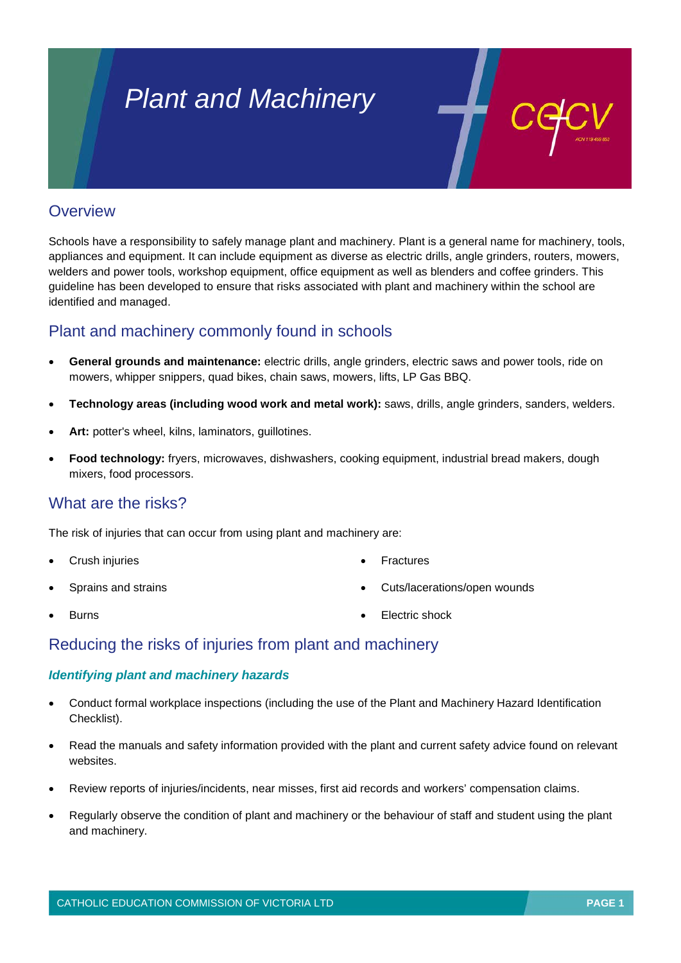# *Plant and Machinery*

## **Overview**

Schools have a responsibility to safely manage plant and machinery. Plant is a general name for machinery, tools, appliances and equipment. It can include equipment as diverse as electric drills, angle grinders, routers, mowers, welders and power tools, workshop equipment, office equipment as well as blenders and coffee grinders. This guideline has been developed to ensure that risks associated with plant and machinery within the school are identified and managed.

# Plant and machinery commonly found in schools

- **General grounds and maintenance:** electric drills, angle grinders, electric saws and power tools, ride on mowers, whipper snippers, quad bikes, chain saws, mowers, lifts, LP Gas BBQ.
- **Technology areas (including wood work and metal work):** saws, drills, angle grinders, sanders, welders.
- **Art:** potter's wheel, kilns, laminators, guillotines.
- **Food technology:** fryers, microwaves, dishwashers, cooking equipment, industrial bread makers, dough mixers, food processors.

### What are the risks?

The risk of injuries that can occur from using plant and machinery are:

- **Crush injuries**
- Sprains and strains
- **Burns**
- **Fractures**
- Cuts/lacerations/open wounds

Electric shock

Reducing the risks of injuries from plant and machinery

#### *Identifying plant and machinery hazards*

- Conduct formal workplace inspections (including the use of the Plant and Machinery Hazard Identification Checklist).
- Read the manuals and safety information provided with the plant and current safety advice found on relevant websites.
- Review reports of injuries/incidents, near misses, first aid records and workers' compensation claims.
- Regularly observe the condition of plant and machinery or the behaviour of staff and student using the plant and machinery.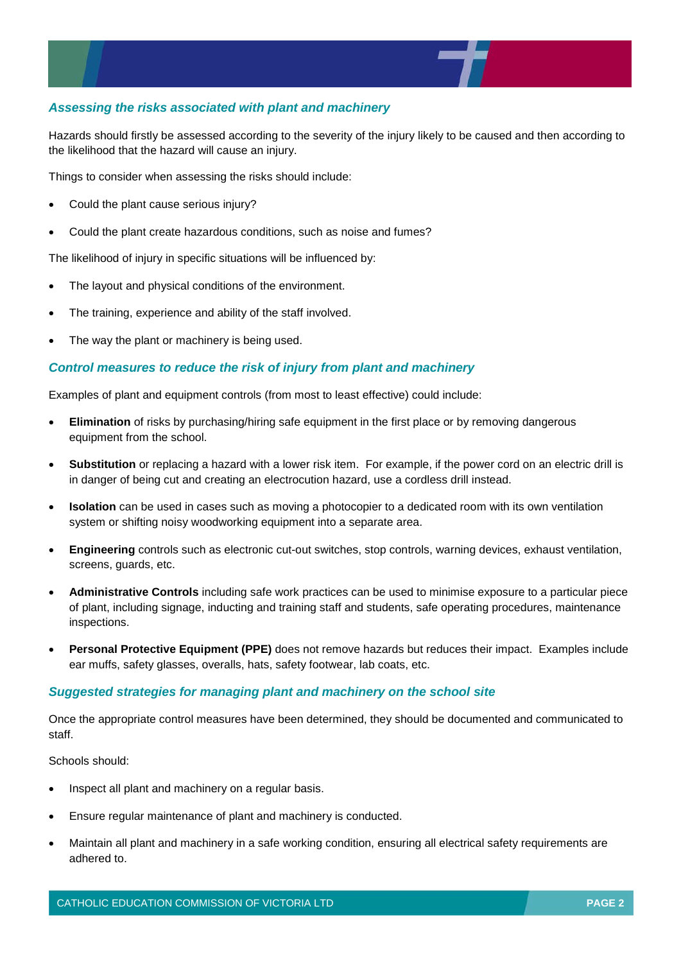#### *Assessing the risks associated with plant and machinery*

Hazards should firstly be assessed according to the severity of the injury likely to be caused and then according to the likelihood that the hazard will cause an injury.

Things to consider when assessing the risks should include:

- Could the plant cause serious injury?
- Could the plant create hazardous conditions, such as noise and fumes?

The likelihood of injury in specific situations will be influenced by:

- The layout and physical conditions of the environment.
- The training, experience and ability of the staff involved.
- The way the plant or machinery is being used.

#### *Control measures to reduce the risk of injury from plant and machinery*

Examples of plant and equipment controls (from most to least effective) could include:

- **Elimination** of risks by purchasing/hiring safe equipment in the first place or by removing dangerous equipment from the school.
- **Substitution** or replacing a hazard with a lower risk item. For example, if the power cord on an electric drill is in danger of being cut and creating an electrocution hazard, use a cordless drill instead.
- **Isolation** can be used in cases such as moving a photocopier to a dedicated room with its own ventilation system or shifting noisy woodworking equipment into a separate area.
- **Engineering** controls such as electronic cut-out switches, stop controls, warning devices, exhaust ventilation, screens, guards, etc.
- **Administrative Controls** including safe work practices can be used to minimise exposure to a particular piece of plant, including signage, inducting and training staff and students, safe operating procedures, maintenance inspections.
- **Personal Protective Equipment (PPE)** does not remove hazards but reduces their impact. Examples include ear muffs, safety glasses, overalls, hats, safety footwear, lab coats, etc.

#### *Suggested strategies for managing plant and machinery on the school site*

Once the appropriate control measures have been determined, they should be documented and communicated to staff.

Schools should:

- Inspect all plant and machinery on a regular basis.
- Ensure regular maintenance of plant and machinery is conducted.
- Maintain all plant and machinery in a safe working condition, ensuring all electrical safety requirements are adhered to.